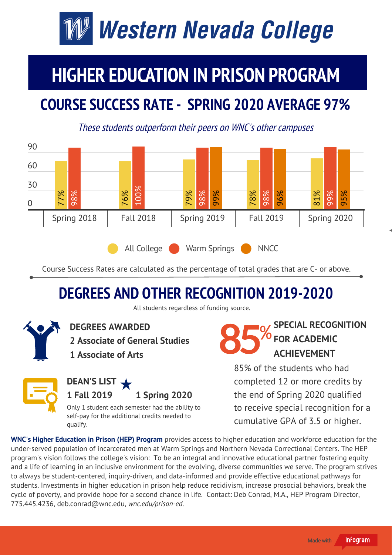# Western Nevada College

### **HIGHER EDUCATION IN PRISON PROGRAM**

#### **COURSE SUCCESS RATE - SPRING 2020 AVERAGE 97%**

These students outperform their peers on WNC's other campuses



Course Success Rates are calculated as the percentage of total grades that are C- or above.

#### **DEGREES AND OTHER RECOGNITION 2019-2020**

All students regardless of funding source.



**DEGREES AWARDED**

**2 Associate of General Studies**

**1 Associate of Arts**



Only 1 student each semester had the ability to self-pay for the additional credits needed to qualify.

**SPECIAL RECOGNITION FOR ACADEMIC ACHIEVEMENT**

85% of the students who had completed 12 or more credits by the end of Spring 2020 qualified to receive special recognition for a cumulative GPA of 3.5 or higher.

**WNC's Higher Education in Prison (HEP) Program** provides access to higher education and workforce education for the under-served population of incarcerated men at Warm Springs and Northern Nevada Correctional Centers. The HEP program's vision follows the college's vision: To be an integral and innovative educational partner fostering equity and a life of learning in an inclusive environment for the evolving, diverse communities we serve. The program strives to always be student-centered, inquiry-driven, and data-informed and provide effective educational pathways for students. Investments in higher education in prison help reduce recidivism, increase prosocial behaviors, break the cycle of poverty, and provide hope for a second chance in life. Contact: Deb Conrad, M.A., HEP Program Director, 775.445.4236, deb.conrad@wnc.edu, *wnc.edu/prison-ed.*